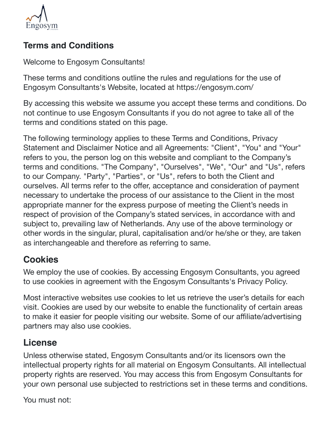

#### **Terms and Conditions**

Welcome to Engosym Consultants!

These terms and conditions outline the rules and regulations for the use of Engosym Consultants's Website, located at https://engosym.com/

By accessing this website we assume you accept these terms and conditions. Do not continue to use Engosym Consultants if you do not agree to take all of the terms and conditions stated on this page.

The following terminology applies to these Terms and Conditions, Privacy Statement and Disclaimer Notice and all Agreements: "Client", "You" and "Your" refers to you, the person log on this website and compliant to the Company's terms and conditions. "The Company", "Ourselves", "We", "Our" and "Us", refers to our Company. "Party", "Parties", or "Us", refers to both the Client and ourselves. All terms refer to the offer, acceptance and consideration of payment necessary to undertake the process of our assistance to the Client in the most appropriate manner for the express purpose of meeting the Client's needs in respect of provision of the Company's stated services, in accordance with and subject to, prevailing law of Netherlands. Any use of the above terminology or other words in the singular, plural, capitalisation and/or he/she or they, are taken as interchangeable and therefore as referring to same.

#### **Cookies**

We employ the use of cookies. By accessing Engosym Consultants, you agreed to use cookies in agreement with the Engosym Consultants's Privacy Policy.

Most interactive websites use cookies to let us retrieve the user's details for each visit. Cookies are used by our website to enable the functionality of certain areas to make it easier for people visiting our website. Some of our affiliate/advertising partners may also use cookies.

### **License**

Unless otherwise stated, Engosym Consultants and/or its licensors own the intellectual property rights for all material on Engosym Consultants. All intellectual property rights are reserved. You may access this from Engosym Consultants for your own personal use subjected to restrictions set in these terms and conditions.

You must not: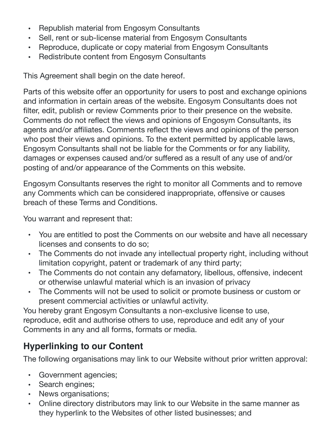- Republish material from Engosym Consultants
- Sell, rent or sub-license material from Engosym Consultants
- Reproduce, duplicate or copy material from Engosym Consultants
- Redistribute content from Engosym Consultants

This Agreement shall begin on the date hereof.

Parts of this website offer an opportunity for users to post and exchange opinions and information in certain areas of the website. Engosym Consultants does not filter, edit, publish or review Comments prior to their presence on the website. Comments do not reflect the views and opinions of Engosym Consultants, its agents and/or affiliates. Comments reflect the views and opinions of the person who post their views and opinions. To the extent permitted by applicable laws, Engosym Consultants shall not be liable for the Comments or for any liability, damages or expenses caused and/or suffered as a result of any use of and/or posting of and/or appearance of the Comments on this website.

Engosym Consultants reserves the right to monitor all Comments and to remove any Comments which can be considered inappropriate, offensive or causes breach of these Terms and Conditions.

You warrant and represent that:

- You are entitled to post the Comments on our website and have all necessary licenses and consents to do so;
- The Comments do not invade any intellectual property right, including without limitation copyright, patent or trademark of any third party;
- The Comments do not contain any defamatory, libellous, offensive, indecent or otherwise unlawful material which is an invasion of privacy
- The Comments will not be used to solicit or promote business or custom or present commercial activities or unlawful activity.

You hereby grant Engosym Consultants a non-exclusive license to use, reproduce, edit and authorise others to use, reproduce and edit any of your Comments in any and all forms, formats or media.

### **Hyperlinking to our Content**

The following organisations may link to our Website without prior written approval:

- Government agencies;
- Search engines;
- News organisations;
- Online directory distributors may link to our Website in the same manner as they hyperlink to the Websites of other listed businesses; and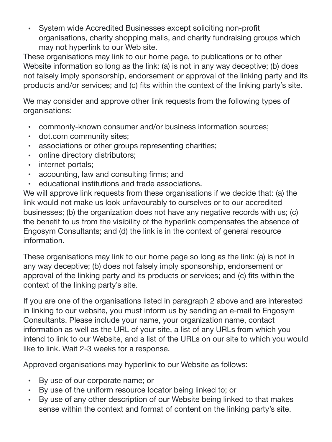• System wide Accredited Businesses except soliciting non-profit organisations, charity shopping malls, and charity fundraising groups which may not hyperlink to our Web site.

These organisations may link to our home page, to publications or to other Website information so long as the link: (a) is not in any way deceptive; (b) does not falsely imply sponsorship, endorsement or approval of the linking party and its products and/or services; and (c) fits within the context of the linking party's site.

We may consider and approve other link requests from the following types of organisations:

- commonly-known consumer and/or business information sources;
- dot.com community sites;
- associations or other groups representing charities;
- online directory distributors;
- internet portals;
- accounting, law and consulting firms; and
- educational institutions and trade associations.

We will approve link requests from these organisations if we decide that: (a) the link would not make us look unfavourably to ourselves or to our accredited businesses; (b) the organization does not have any negative records with us; (c) the benefit to us from the visibility of the hyperlink compensates the absence of Engosym Consultants; and (d) the link is in the context of general resource information.

These organisations may link to our home page so long as the link: (a) is not in any way deceptive; (b) does not falsely imply sponsorship, endorsement or approval of the linking party and its products or services; and (c) fits within the context of the linking party's site.

If you are one of the organisations listed in paragraph 2 above and are interested in linking to our website, you must inform us by sending an e-mail to Engosym Consultants. Please include your name, your organization name, contact information as well as the URL of your site, a list of any URLs from which you intend to link to our Website, and a list of the URLs on our site to which you would like to link. Wait 2-3 weeks for a response.

Approved organisations may hyperlink to our Website as follows:

- By use of our corporate name; or
- By use of the uniform resource locator being linked to; or
- By use of any other description of our Website being linked to that makes sense within the context and format of content on the linking party's site.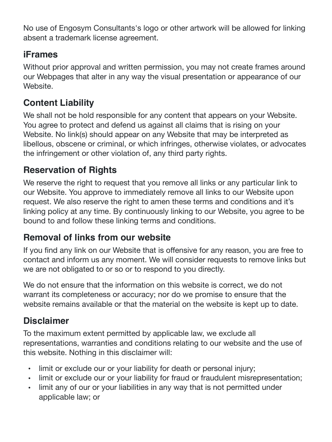No use of Engosym Consultants's logo or other artwork will be allowed for linking absent a trademark license agreement.

#### **iFrames**

Without prior approval and written permission, you may not create frames around our Webpages that alter in any way the visual presentation or appearance of our Website.

## **Content Liability**

We shall not be hold responsible for any content that appears on your Website. You agree to protect and defend us against all claims that is rising on your Website. No link(s) should appear on any Website that may be interpreted as libellous, obscene or criminal, or which infringes, otherwise violates, or advocates the infringement or other violation of, any third party rights.

## **Reservation of Rights**

We reserve the right to request that you remove all links or any particular link to our Website. You approve to immediately remove all links to our Website upon request. We also reserve the right to amen these terms and conditions and it's linking policy at any time. By continuously linking to our Website, you agree to be bound to and follow these linking terms and conditions.

### **Removal of links from our website**

If you find any link on our Website that is offensive for any reason, you are free to contact and inform us any moment. We will consider requests to remove links but we are not obligated to or so or to respond to you directly.

We do not ensure that the information on this website is correct, we do not warrant its completeness or accuracy; nor do we promise to ensure that the website remains available or that the material on the website is kept up to date.

# **Disclaimer**

To the maximum extent permitted by applicable law, we exclude all representations, warranties and conditions relating to our website and the use of this website. Nothing in this disclaimer will:

- limit or exclude our or your liability for death or personal injury;
- limit or exclude our or your liability for fraud or fraudulent misrepresentation;
- limit any of our or your liabilities in any way that is not permitted under applicable law; or